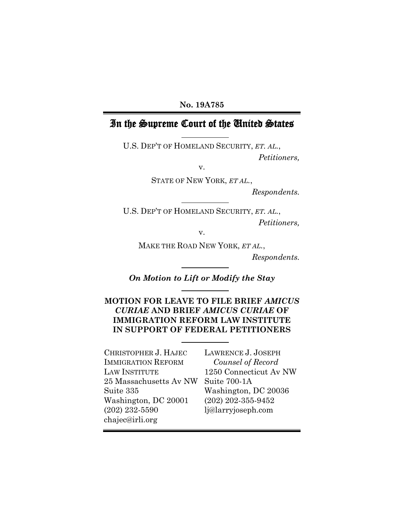### **No. 19A785**

# In the Supreme Court of the United States

U.S. DEP'T OF HOMELAND SECURITY, *ET. AL.*,

*Petitioners,*

v.

STATE OF NEW YORK, *ET AL.*,

*Respondents.*

U.S. DEP'T OF HOMELAND SECURITY, *ET. AL.*, *Petitioners,*

v.

MAKE THE ROAD NEW YORK, *ET AL.*,

*Respondents.*

*On Motion to Lift or Modify the Stay*

### **MOTION FOR LEAVE TO FILE BRIEF** *AMICUS CURIAE* **AND BRIEF** *AMICUS CURIAE* **OF IMMIGRATION REFORM LAW INSTITUTE IN SUPPORT OF FEDERAL PETITIONERS**

CHRISTOPHER J. HAJEC IMMIGRATION REFORM LAW INSTITUTE 25 Massachusetts Av NW Suite 335 Washington, DC 20001 (202) 232-5590 [chajec@irli.org](mailto:chajec@irli.org)

LAWRENCE J. JOSEPH *Counsel of Record* 1250 Connecticut Av NW Suite 700-1A Washington, DC 20036 (202) 202-355-9452 lj@larryjoseph.com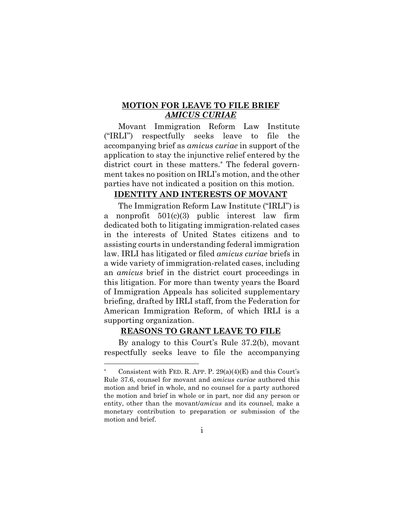### **MOTION FOR LEAVE TO FILE BRIEF**  *AMICUS CURIAE*

Movant Immigration Reform Law Institute ("IRLI") respectfully seeks leave to file the accompanying brief as *amicus curiae* in support of the application to stay the injunctive relief entered by the district court in these matters.\* The federal government takes no position on IRLI's motion, and the other parties have not indicated a position on this motion.

#### **IDENTITY AND INTERESTS OF MOVANT**

The Immigration Reform Law Institute ("IRLI") is a nonprofit 501(c)(3) public interest law firm dedicated both to litigating immigration-related cases in the interests of United States citizens and to assisting courts in understanding federal immigration law. IRLI has litigated or filed *amicus curiae* briefs in a wide variety of immigration-related cases, including an *amicus* brief in the district court proceedings in this litigation. For more than twenty years the Board of Immigration Appeals has solicited supplementary briefing, drafted by IRLI staff, from the Federation for American Immigration Reform, of which IRLI is a supporting organization.

#### **REASONS TO GRANT LEAVE TO FILE**

By analogy to this Court's Rule 37.2(b), movant respectfully seeks leave to file the accompanying

Consistent with FED. R. APP. P.  $29(a)(4)(E)$  and this Court's Rule 37.6, counsel for movant and *amicus curiae* authored this motion and brief in whole, and no counsel for a party authored the motion and brief in whole or in part, nor did any person or entity, other than the movant/*amicus* and its counsel, make a monetary contribution to preparation or submission of the motion and brief.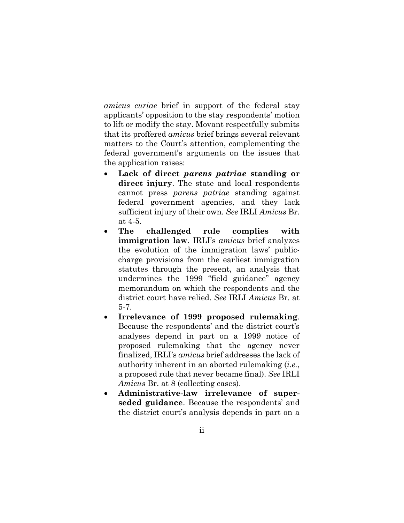*amicus curiae* brief in support of the federal stay applicants' opposition to the stay respondents' motion to lift or modify the stay. Movant respectfully submits that its proffered *amicus* brief brings several relevant matters to the Court's attention, complementing the federal government's arguments on the issues that the application raises:

- **Lack of direct** *parens patriae* **standing or direct injury**. The state and local respondents cannot press *parens patriae* standing against federal government agencies, and they lack sufficient injury of their own. *See* IRLI *Amicus* Br. at 4-5.
- **The challenged rule complies with immigration law**. IRLI's *amicus* brief analyzes the evolution of the immigration laws' publiccharge provisions from the earliest immigration statutes through the present, an analysis that undermines the 1999 "field guidance" agency memorandum on which the respondents and the district court have relied. *See* IRLI *Amicus* Br. at 5-7.
- **Irrelevance of 1999 proposed rulemaking**. Because the respondents' and the district court's analyses depend in part on a 1999 notice of proposed rulemaking that the agency never finalized, IRLI's *amicus* brief addresses the lack of authority inherent in an aborted rulemaking (*i.e.*, a proposed rule that never became final). *See* IRLI *Amicus* Br. at 8 (collecting cases).
- **Administrative-law irrelevance of superseded guidance**. Because the respondents' and the district court's analysis depends in part on a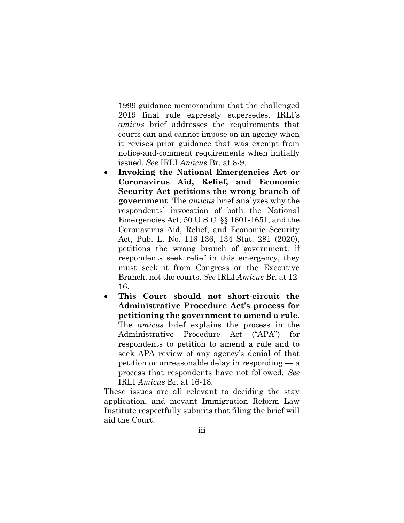1999 guidance memorandum that the challenged 2019 final rule expressly supersedes, IRLI's *amicus* brief addresses the requirements that courts can and cannot impose on an agency when it revises prior guidance that was exempt from notice-and-comment requirements when initially issued. *See* IRLI *Amicus* Br. at 8-9.

- **Invoking the National Emergencies Act or Coronavirus Aid, Relief, and Economic Security Act petitions the wrong branch of government**. The *amicus* brief analyzes why the respondents' invocation of both the National Emergencies Act, 50 U.S.C. §§ 1601-1651, and the Coronavirus Aid, Relief, and Economic Security Act, Pub. L. No. 116-136, 134 Stat. 281 (2020), petitions the wrong branch of government: if respondents seek relief in this emergency, they must seek it from Congress or the Executive Branch, not the courts. *See* IRLI *Amicus* Br. at 12- 16.
- **This Court should not short-circuit the Administrative Procedure Act's process for petitioning the government to amend a rule**. The *amicus* brief explains the process in the Administrative Procedure Act ("APA") for respondents to petition to amend a rule and to seek APA review of any agency's denial of that petition or unreasonable delay in responding — a process that respondents have not followed. *See* IRLI *Amicus* Br. at 16-18.

These issues are all relevant to deciding the stay application, and movant Immigration Reform Law Institute respectfully submits that filing the brief will aid the Court.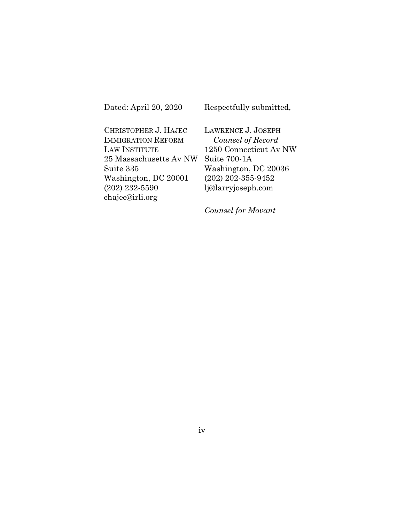Dated: April 20, 2020

Respectfully submitted,

CHRISTOPHER J. HAJEC IMMIGRATION REFORM LAW INSTITUTE 25 Massachusetts Av NW Suite 335 Washington, DC 20001 (202) 232-5590 [chajec@irli.org](mailto:chajec@irli.org)

LAWRENCE J. JOSEPH *Counsel of Record* 1250 Connecticut Av NW Suite 700-1A Washington, DC 20036 (202) 202-355-9452 lj@larryjoseph.com

*Counsel for Movant*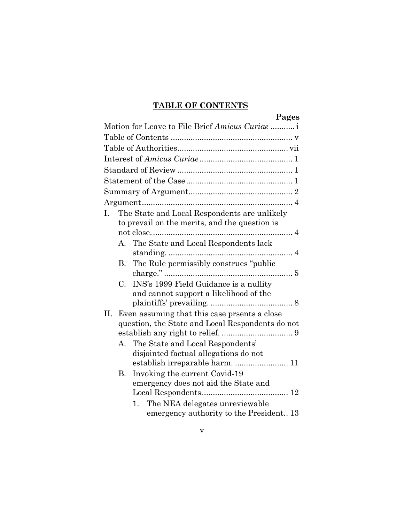# **TABLE OF CONTENTS**

|     |             | Pages                                                                            |  |  |
|-----|-------------|----------------------------------------------------------------------------------|--|--|
|     |             | Motion for Leave to File Brief Amicus Curiae                                     |  |  |
|     |             |                                                                                  |  |  |
|     |             |                                                                                  |  |  |
|     |             |                                                                                  |  |  |
|     |             |                                                                                  |  |  |
|     |             |                                                                                  |  |  |
|     |             |                                                                                  |  |  |
|     |             |                                                                                  |  |  |
| L.  |             | The State and Local Respondents are unlikely                                     |  |  |
|     |             | to prevail on the merits, and the question is                                    |  |  |
|     |             |                                                                                  |  |  |
|     |             | A. The State and Local Respondents lack                                          |  |  |
|     |             |                                                                                  |  |  |
|     | B.          | The Rule permissibly construes "public"                                          |  |  |
|     | $C_{\cdot}$ |                                                                                  |  |  |
|     |             | INS's 1999 Field Guidance is a nullity<br>and cannot support a likelihood of the |  |  |
|     |             |                                                                                  |  |  |
| II. |             | Even assuming that this case presents a close                                    |  |  |
|     |             | question, the State and Local Respondents do not                                 |  |  |
|     |             |                                                                                  |  |  |
|     |             | A. The State and Local Respondents'                                              |  |  |
|     |             | disjointed factual allegations do not                                            |  |  |
|     |             |                                                                                  |  |  |
|     | B.          | Invoking the current Covid-19                                                    |  |  |
|     |             | emergency does not aid the State and                                             |  |  |
|     |             |                                                                                  |  |  |
|     |             | 1. The NEA delegates unreviewable                                                |  |  |
|     |             | emergency authority to the President13                                           |  |  |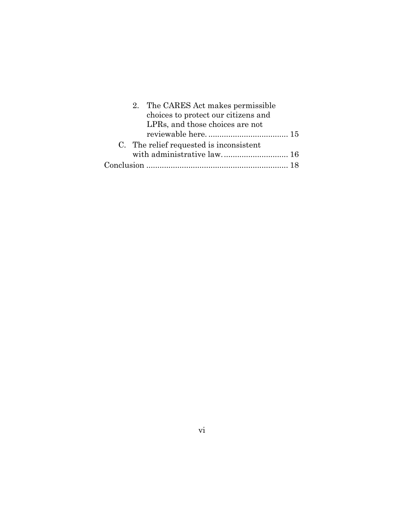|  | 2. The CARES Act makes permissible      |  |
|--|-----------------------------------------|--|
|  | choices to protect our citizens and     |  |
|  | LPRs, and those choices are not         |  |
|  |                                         |  |
|  | C. The relief requested is inconsistent |  |
|  | with administrative law 16              |  |
|  |                                         |  |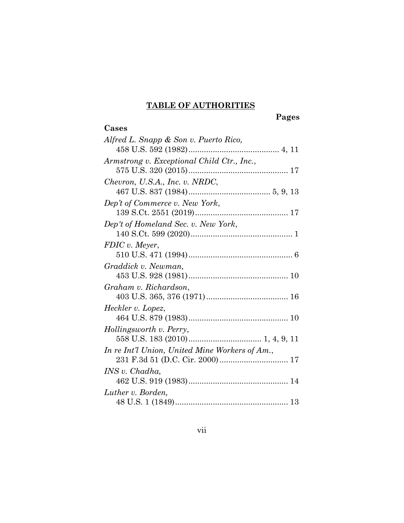### **TABLE OF AUTHORITIES**

**Cases**

#### **Pages**

# *Alfred L. Snapp & Son v. Puerto Rico,* 458 U.S. 592 (1982)......................................... 4, 11 *Armstrong v. Exceptional Child Ctr., Inc.*, 575 U.S. 320 (2015)............................................. 17 *Chevron, U.S.A., Inc. v. NRDC*, 467 U.S. 837 (1984)..................................... 5, 9, 13 *Dep't of Commerce v. New York*, 139 S.Ct. 2551 (2019).......................................... 17 *Dep't of Homeland Sec. v. New York*, 140 S.Ct. 599 (2020).............................................. 1 *FDIC v. Meyer*, 510 U.S. 471 (1994)............................................... 6 *Graddick v. Newman,* 453 U.S. 928 (1981)............................................. 10 *Graham v. Richardson*, 403 U.S. 365, 376 (1971)..................................... 16 *Heckler v. Lopez*, 464 U.S. 879 (1983)............................................. 10 *Hollingsworth v. Perry*, 558 U.S. 183 (2010)................................. 1, 4, 9, 11 *In re Int'l Union, United Mine Workers of Am.*, 231 F.3d 51 (D.C. Cir. 2000)............................... 17 *INS v. Chadha,* 462 U.S. 919 (1983)............................................. 14 *Luther v. Borden,* 48 U.S. 1 (1849)................................................... 13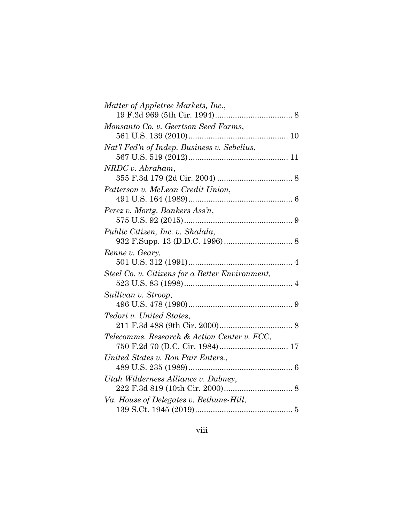| Matter of Appletree Markets, Inc.,              |  |
|-------------------------------------------------|--|
|                                                 |  |
| Monsanto Co. v. Geertson Seed Farms,            |  |
|                                                 |  |
| Nat'l Fed'n of Indep. Business v. Sebelius,     |  |
|                                                 |  |
| NRDC v. Abraham,                                |  |
|                                                 |  |
| Patterson v. McLean Credit Union,               |  |
|                                                 |  |
| Perez v. Mortg. Bankers Ass'n,                  |  |
|                                                 |  |
| Public Citizen, Inc. v. Shalala,                |  |
|                                                 |  |
| Renne v. Geary,                                 |  |
|                                                 |  |
| Steel Co. v. Citizens for a Better Environment, |  |
|                                                 |  |
| Sullivan v. Stroop,                             |  |
|                                                 |  |
| Tedori v. United States,                        |  |
|                                                 |  |
| Telecomms. Research & Action Center v. FCC,     |  |
|                                                 |  |
| United States v. Ron Pair Enters                |  |
|                                                 |  |
| Utah Wilderness Alliance v. Dabney,             |  |
|                                                 |  |
| Va. House of Delegates v. Bethune-Hill,         |  |
|                                                 |  |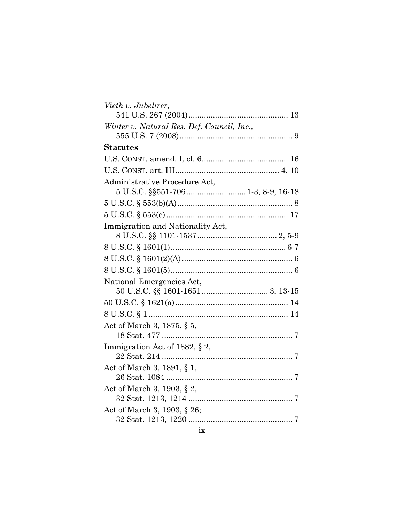| Vieth v. Jubelirer,                        |  |
|--------------------------------------------|--|
|                                            |  |
| Winter v. Natural Res. Def. Council, Inc., |  |
|                                            |  |
| <b>Statutes</b>                            |  |
|                                            |  |
|                                            |  |
| Administrative Procedure Act,              |  |
| 5 U.S.C. §§551-706 1-3, 8-9, 16-18         |  |
|                                            |  |
|                                            |  |
| Immigration and Nationality Act,           |  |
|                                            |  |
|                                            |  |
|                                            |  |
|                                            |  |
| National Emergencies Act,                  |  |
|                                            |  |
|                                            |  |
|                                            |  |
| Act of March 3, 1875, § 5,                 |  |
|                                            |  |
| Immigration Act of 1882, § 2,              |  |
|                                            |  |
| Act of March 3, 1891, § 1,                 |  |
|                                            |  |
| Act of March 3, 1903, § 2,                 |  |
|                                            |  |
| Act of March 3, 1903, § 26;                |  |
|                                            |  |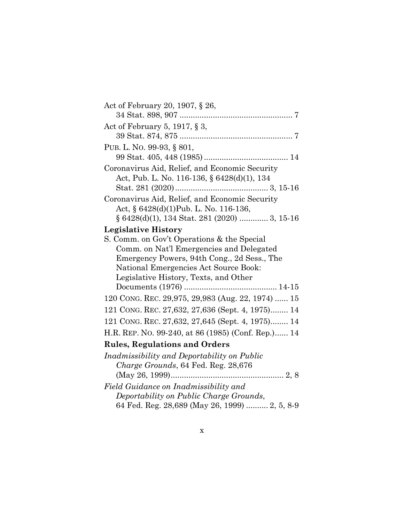| Act of February 20, 1907, § 26,                    |  |
|----------------------------------------------------|--|
|                                                    |  |
| Act of February 5, 1917, $\S$ 3,                   |  |
|                                                    |  |
| PUB. L. NO. 99-93, § 801,                          |  |
|                                                    |  |
| Coronavirus Aid, Relief, and Economic Security     |  |
| Act, Pub. L. No. 116-136, § 6428(d)(1), 134        |  |
|                                                    |  |
| Coronavirus Aid, Relief, and Economic Security     |  |
| Act, § 6428(d)(1)Pub. L. No. 116-136,              |  |
| § 6428(d)(1), 134 Stat. 281 (2020)  3, 15-16       |  |
| <b>Legislative History</b>                         |  |
| S. Comm. on Gov't Operations & the Special         |  |
| Comm. on Nat'l Emergencies and Delegated           |  |
| Emergency Powers, 94th Cong., 2d Sess., The        |  |
| National Emergencies Act Source Book:              |  |
| Legislative History, Texts, and Other              |  |
|                                                    |  |
| 120 CONG. REC. 29,975, 29,983 (Aug. 22, 1974)  15  |  |
| 121 CONG. REC. 27,632, 27,636 (Sept. 4, 1975) 14   |  |
| 121 CONG. REC. 27,632, 27,645 (Sept. 4, 1975) 14   |  |
| H.R. REP. No. 99-240, at 86 (1985) (Conf. Rep.) 14 |  |
| <b>Rules, Regulations and Orders</b>               |  |
| Inadmissibility and Deportability on Public        |  |
| Charge Grounds, 64 Fed. Reg. 28,676                |  |
|                                                    |  |
| Field Guidance on Inadmissibility and              |  |
| Deportability on Public Charge Grounds,            |  |
| 64 Fed. Reg. 28,689 (May 26, 1999)  2, 5, 8-9      |  |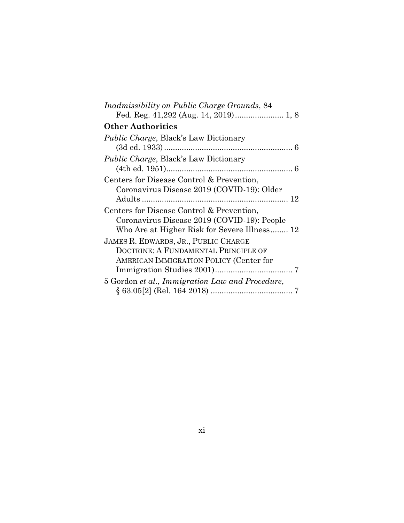| Inadmissibility on Public Charge Grounds, 84    |
|-------------------------------------------------|
|                                                 |
| <b>Other Authorities</b>                        |
| <i>Public Charge, Black's Law Dictionary</i>    |
|                                                 |
| <i>Public Charge</i> , Black's Law Dictionary   |
|                                                 |
| Centers for Disease Control & Prevention,       |
| Coronavirus Disease 2019 (COVID-19): Older      |
|                                                 |
| Centers for Disease Control & Prevention,       |
| Coronavirus Disease 2019 (COVID-19): People     |
| Who Are at Higher Risk for Severe Illness 12    |
| JAMES R. EDWARDS, JR., PUBLIC CHARGE            |
| DOCTRINE: A FUNDAMENTAL PRINCIPLE OF            |
| AMERICAN IMMIGRATION POLICY (Center for         |
|                                                 |
| 5 Gordon et al., Immigration Law and Procedure, |
|                                                 |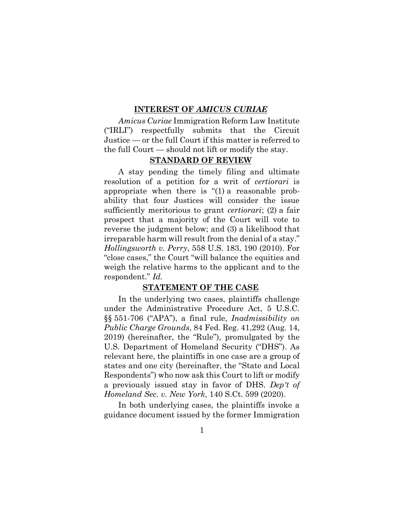#### **INTEREST OF** *AMICUS CURIAE*

*Amicus Curiae* Immigration Reform Law Institute ("IRLI") respectfully submits that the Circuit Justice — or the full Court if this matter is referred to the full Court — should not lift or modify the stay.

### **STANDARD OF REVIEW**

A stay pending the timely filing and ultimate resolution of a petition for a writ of *certiorari* is appropriate when there is "(1) a reasonable probability that four Justices will consider the issue sufficiently meritorious to grant *certiorari*; (2) a fair prospect that a majority of the Court will vote to reverse the judgment below; and (3) a likelihood that irreparable harm will result from the denial of a stay." *Hollingsworth v. Perry*, 558 U.S. 183, 190 (2010). For "close cases," the Court "will balance the equities and weigh the relative harms to the applicant and to the respondent." *Id.*

#### **STATEMENT OF THE CASE**

In the underlying two cases, plaintiffs challenge under the Administrative Procedure Act, 5 U.S.C. §§ 551-706 ("APA"), a final rule, *Inadmissibility on Public Charge Grounds*, 84 Fed. Reg. 41,292 (Aug. 14, 2019) (hereinafter, the "Rule"), promulgated by the U.S. Department of Homeland Security ("DHS"). As relevant here, the plaintiffs in one case are a group of states and one city (hereinafter, the "State and Local Respondents") who now ask this Court to lift or modify a previously issued stay in favor of DHS. *Dep't of Homeland Sec. v. New York*, 140 S.Ct. 599 (2020).

In both underlying cases, the plaintiffs invoke a guidance document issued by the former Immigration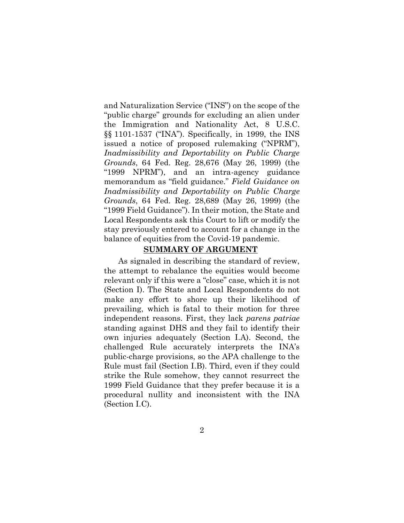and Naturalization Service ("INS") on the scope of the "public charge" grounds for excluding an alien under the Immigration and Nationality Act, 8 U.S.C. §§ 1101-1537 ("INA"). Specifically, in 1999, the INS issued a notice of proposed rulemaking ("NPRM"), *Inadmissibility and Deportability on Public Charge Grounds*, 64 Fed. Reg. 28,676 (May 26, 1999) (the "1999 NPRM"), and an intra-agency guidance memorandum as "field guidance." *Field Guidance on Inadmissibility and Deportability on Public Charge Grounds*, 64 Fed. Reg. 28,689 (May 26, 1999) (the "1999 Field Guidance"). In their motion, the State and Local Respondents ask this Court to lift or modify the stay previously entered to account for a change in the balance of equities from the Covid-19 pandemic.

#### **SUMMARY OF ARGUMENT**

As signaled in describing the standard of review, the attempt to rebalance the equities would become relevant only if this were a "close" case, which it is not (Section [I\)](#page-15-0). The State and Local Respondents do not make any effort to shore up their likelihood of prevailing, which is fatal to their motion for three independent reasons. First, they lack *parens patriae* standing against DHS and they fail to identify their own injuries adequately (Section [I.A\)](#page-15-1). Second, the challenged Rule accurately interprets the INA's public-charge provisions, so the APA challenge to the Rule must fail (Section [I.B\)](#page-16-0). Third, even if they could strike the Rule somehow, they cannot resurrect the 1999 Field Guidance that they prefer because it is a procedural nullity and inconsistent with the INA (Section [I.C\)](#page-19-0).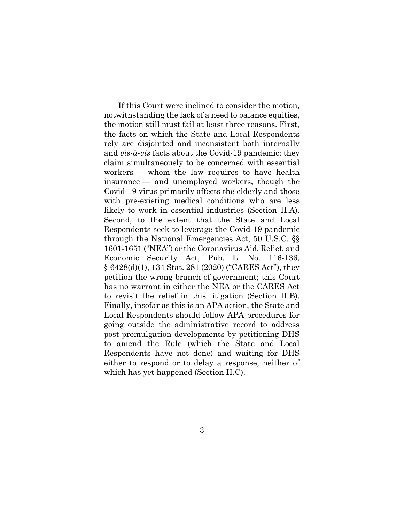If this Court were inclined to consider the motion, notwithstanding the lack of a need to balance equities, the motion still must fail at least three reasons. First, the facts on which the State and Local Respondents rely are disjointed and inconsistent both internally and *vis-à-vis* facts about the Covid-19 pandemic: they claim simultaneously to be concerned with essential workers — whom the law requires to have health insurance — and unemployed workers, though the Covid-19 virus primarily affects the elderly and those with pre-existing medical conditions who are less likely to work in essential industries (Section [II.A\)](#page-22-0). Second, to the extent that the State and Local Respondents seek to leverage the Covid-19 pandemic through the National Emergencies Act, 50 U.S.C. §§ 1601-1651 ("NEA") or the Coronavirus Aid, Relief, and Economic Security Act, Pub. L. No. 116-136, § 6428(d)(1), 134 Stat. 281 (2020) ("CARES Act"), they petition the wrong branch of government; this Court has no warrant in either the NEA or the CARES Act to revisit the relief in this litigation (Section [II.B\)](#page-23-0). Finally, insofar as this is an APA action, the State and Local Respondents should follow APA procedures for going outside the administrative record to address post-promulgation developments by petitioning DHS to amend the Rule (which the State and Local Respondents have not done) and waiting for DHS either to respond or to delay a response, neither of which has yet happened (Section [II.C\)](#page-27-0).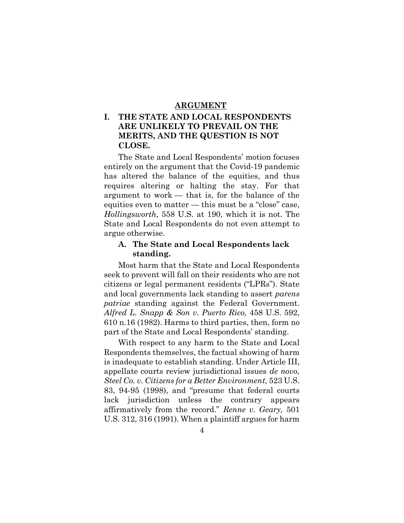### **ARGUMENT**

## <span id="page-15-0"></span>**I. THE STATE AND LOCAL RESPONDENTS ARE UNLIKELY TO PREVAIL ON THE MERITS, AND THE QUESTION IS NOT CLOSE.**

The State and Local Respondents' motion focuses entirely on the argument that the Covid-19 pandemic has altered the balance of the equities, and thus requires altering or halting the stay. For that argument to work — that is, for the balance of the equities even to matter — this must be a "close" case, *Hollingsworth*, 558 U.S. at 190, which it is not. The State and Local Respondents do not even attempt to argue otherwise.

### <span id="page-15-1"></span>**A. The State and Local Respondents lack standing.**

Most harm that the State and Local Respondents seek to prevent will fall on their residents who are not citizens or legal permanent residents ("LPRs"). State and local governments lack standing to assert *parens patriae* standing against the Federal Government. *Alfred L. Snapp & Son v. Puerto Rico,* 458 U.S. 592, 610 n.16 (1982). Harms to third parties, then, form no part of the State and Local Respondents' standing.

With respect to any harm to the State and Local Respondents themselves, the factual showing of harm is inadequate to establish standing. Under Article III, appellate courts review jurisdictional issues *de novo, Steel Co. v. Citizens for a Better Environment,* 523 U.S. 83, 94-95 (1998), and "presume that federal courts lack jurisdiction unless the contrary appears affirmatively from the record." *Renne v. Geary,* 501 U.S. 312, 316 (1991). When a plaintiff argues for harm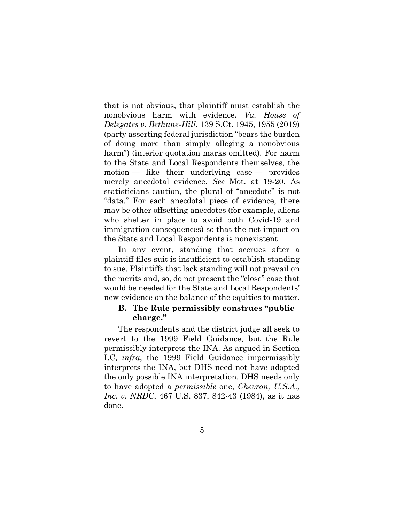that is not obvious, that plaintiff must establish the nonobvious harm with evidence. *Va. House of Delegates v. Bethune-Hill*, 139 S.Ct. 1945, 1955 (2019) (party asserting federal jurisdiction "bears the burden of doing more than simply alleging a nonobvious harm") (interior quotation marks omitted). For harm to the State and Local Respondents themselves, the motion — like their underlying case — provides merely anecdotal evidence. *See* Mot. at 19-20. As statisticians caution, the plural of "anecdote" is not "data." For each anecdotal piece of evidence, there may be other offsetting anecdotes (for example, aliens who shelter in place to avoid both Covid-19 and immigration consequences) so that the net impact on the State and Local Respondents is nonexistent.

In any event, standing that accrues after a plaintiff files suit is insufficient to establish standing to sue. Plaintiffs that lack standing will not prevail on the merits and, so, do not present the "close" case that would be needed for the State and Local Respondents' new evidence on the balance of the equities to matter.

### <span id="page-16-0"></span>**B. The Rule permissibly construes "public charge."**

The respondents and the district judge all seek to revert to the 1999 Field Guidance, but the Rule permissibly interprets the INA. As argued in Section [I.C,](#page-19-0) *infra*, the 1999 Field Guidance impermissibly interprets the INA, but DHS need not have adopted the only possible INA interpretation. DHS needs only to have adopted a *permissible* one, *Chevron, U.S.A., Inc. v. NRDC*, 467 U.S. 837, 842-43 (1984), as it has done.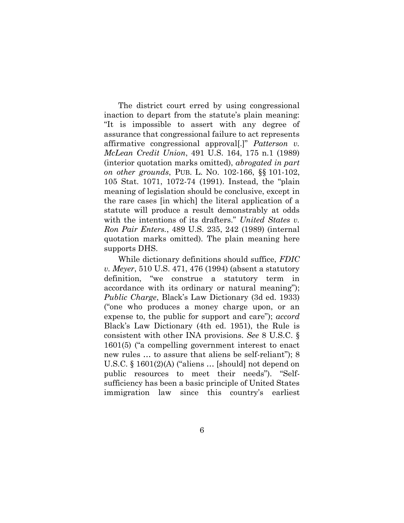The district court erred by using congressional inaction to depart from the statute's plain meaning: "It is impossible to assert with any degree of assurance that congressional failure to act represents affirmative congressional approval[.]" *Patterson v. McLean Credit Union*, 491 U.S. 164, 175 n.1 (1989) (interior quotation marks omitted), *abrogated in part on other grounds*, PUB. L. NO. 102-166, §§ 101-102, 105 Stat. 1071, 1072-74 (1991). Instead, the "plain meaning of legislation should be conclusive, except in the rare cases [in which] the literal application of a statute will produce a result demonstrably at odds with the intentions of its drafters." *United States v. Ron Pair Enters.*, 489 U.S. 235, 242 (1989) (internal quotation marks omitted). The plain meaning here supports DHS.

While dictionary definitions should suffice, *FDIC v. Meyer*, 510 U.S. 471, 476 (1994) (absent a statutory definition, "we construe a statutory term in accordance with its ordinary or natural meaning"); *Public Charge*, Black's Law Dictionary (3d ed. 1933) ("one who produces a money charge upon, or an expense to, the public for support and care"); *accord* Black's Law Dictionary (4th ed. 1951), the Rule is consistent with other INA provisions. *See* 8 U.S.C. § 1601(5) ("a compelling government interest to enact new rules … to assure that aliens be self-reliant"); 8 U.S.C. § 1601(2)(A) ("aliens … [should] not depend on public resources to meet their needs"). "Selfsufficiency has been a basic principle of United States immigration law since this country's earliest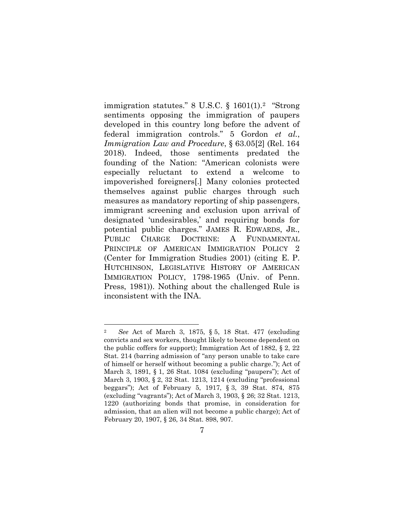immigration statutes." 8 U.S.C. § 1601(1).<sup>2</sup> "Strong sentiments opposing the immigration of paupers developed in this country long before the advent of federal immigration controls." 5 Gordon *et al.*, *Immigration Law and Procedure*, § 63.05[2] (Rel. 164 2018). Indeed, those sentiments predated the founding of the Nation: "American colonists were especially reluctant to extend a welcome to impoverished foreigners[.] Many colonies protected themselves against public charges through such measures as mandatory reporting of ship passengers, immigrant screening and exclusion upon arrival of designated 'undesirables,' and requiring bonds for potential public charges." JAMES R. EDWARDS, JR., PUBLIC CHARGE DOCTRINE: A FUNDAMENTAL PRINCIPLE OF AMERICAN IMMIGRATION POLICY 2 (Center for Immigration Studies 2001) (citing E. P. HUTCHINSON, LEGISLATIVE HISTORY OF AMERICAN IMMIGRATION POLICY, 1798-1965 (Univ. of Penn. Press, 1981)). Nothing about the challenged Rule is inconsistent with the INA.

<sup>2</sup> *See* Act of March 3, 1875, § 5, 18 Stat. 477 (excluding convicts and sex workers, thought likely to become dependent on the public coffers for support); Immigration Act of 1882, § 2, 22 Stat. 214 (barring admission of "any person unable to take care of himself or herself without becoming a public charge."); Act of March 3, 1891, § 1, 26 Stat. 1084 (excluding "paupers"); Act of March 3, 1903, § 2, 32 Stat. 1213, 1214 (excluding "professional beggars"); Act of February 5, 1917, § 3, 39 Stat. 874, 875 (excluding "vagrants"); Act of March 3, 1903, § 26; 32 Stat. 1213, 1220 (authorizing bonds that promise, in consideration for admission, that an alien will not become a public charge); Act of February 20, 1907, § 26, 34 Stat. 898, 907.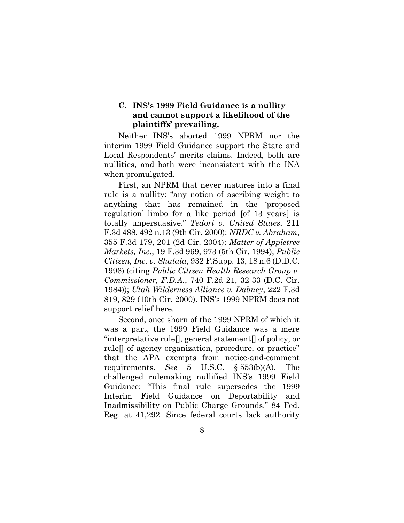## <span id="page-19-0"></span>**C. INS's 1999 Field Guidance is a nullity and cannot support a likelihood of the plaintiffs' prevailing.**

Neither INS's aborted 1999 NPRM nor the interim 1999 Field Guidance support the State and Local Respondents' merits claims. Indeed, both are nullities, and both were inconsistent with the INA when promulgated.

First, an NPRM that never matures into a final rule is a nullity: "any notion of ascribing weight to anything that has remained in the 'proposed regulation' limbo for a like period [of 13 years] is totally unpersuasive." *Tedori v. United States*, 211 F.3d 488, 492 n.13 (9th Cir. 2000); *NRDC v. Abraham*, 355 F.3d 179, 201 (2d Cir. 2004); *Matter of Appletree Markets, Inc.*, 19 F.3d 969, 973 (5th Cir. 1994); *Public Citizen, Inc. v. Shalala*, 932 F.Supp. 13, 18 n.6 (D.D.C. 1996) (citing *Public Citizen Health Research Group v. Commissioner, F.D.A.*, 740 F.2d 21, 32-33 (D.C. Cir. 1984)); *Utah Wilderness Alliance v. Dabney*, 222 F.3d 819, 829 (10th Cir. 2000). INS's 1999 NPRM does not support relief here.

Second, once shorn of the 1999 NPRM of which it was a part, the 1999 Field Guidance was a mere "interpretative rule[], general statement[] of policy, or rule[] of agency organization, procedure, or practice" that the APA exempts from notice-and-comment requirements. *See* 5 U.S.C. § 553(b)(A). The challenged rulemaking nullified INS's 1999 Field Guidance: "This final rule supersedes the 1999 Interim Field Guidance on Deportability and Inadmissibility on Public Charge Grounds." 84 Fed. Reg. at 41,292. Since federal courts lack authority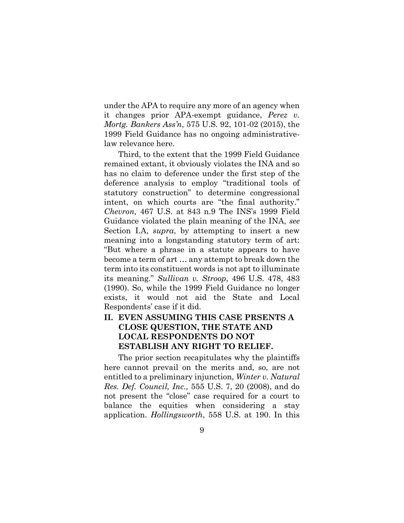under the APA to require any more of an agency when it changes prior APA-exempt guidance, *Perez v. Mortg. Bankers Ass'n*, 575 U.S. 92, 101-02 (2015), the 1999 Field Guidance has no ongoing administrativelaw relevance here.

Third, to the extent that the 1999 Field Guidance remained extant, it obviously violates the INA and so has no claim to deference under the first step of the deference analysis to employ "traditional tools of statutory construction" to determine congressional intent, on which courts are "the final authority." *Chevron,* 467 U.S. at 843 n.9 The INS's 1999 Field Guidance violated the plain meaning of the INA, *see* Section [I.A,](#page-15-1) *supra*, by attempting to insert a new meaning into a longstanding statutory term of art: "But where a phrase in a statute appears to have become a term of art … any attempt to break down the term into its constituent words is not apt to illuminate its meaning." *Sullivan v. Stroop*, 496 U.S. 478, 483 (1990). So, while the 1999 Field Guidance no longer exists, it would not aid the State and Local Respondents' case if it did.

# **II. EVEN ASSUMING THIS CASE PRSENTS A CLOSE QUESTION, THE STATE AND LOCAL RESPONDENTS DO NOT ESTABLISH ANY RIGHT TO RELIEF.**

The prior section recapitulates why the plaintiffs here cannot prevail on the merits and, so, are not entitled to a preliminary injunction, *Winter v. Natural Res. Def. Council, Inc.,* 555 U.S. 7, 20 (2008), and do not present the "close" case required for a court to balance the equities when considering a stay application. *Hollingsworth*, 558 U.S. at 190. In this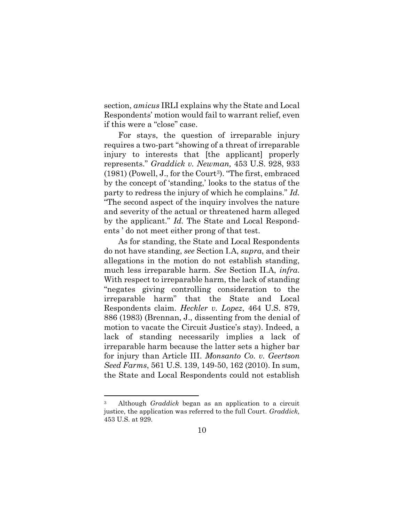section, *amicus* IRLI explains why the State and Local Respondents' motion would fail to warrant relief, even if this were a "close" case.

For stays, the question of irreparable injury requires a two-part "showing of a threat of irreparable injury to interests that [the applicant] properly represents." *Graddick v. Newman,* 453 U.S. 928, 933  $(1981)$  (Powell, J., for the Court<sup>3</sup>). "The first, embraced by the concept of 'standing,' looks to the status of the party to redress the injury of which he complains." *Id.* "The second aspect of the inquiry involves the nature and severity of the actual or threatened harm alleged by the applicant." *Id.* The State and Local Respondents ' do not meet either prong of that test.

As for standing, the State and Local Respondents do not have standing, *see* Section [I.A,](#page-15-1) *supra*, and their allegations in the motion do not establish standing, much less irreparable harm. *See* Section [II.A,](#page-22-0) *infra*. With respect to irreparable harm, the lack of standing "negates giving controlling consideration to the irreparable harm" that the State and Local Respondents claim. *Heckler v. Lopez*, 464 U.S. 879, 886 (1983) (Brennan, J., dissenting from the denial of motion to vacate the Circuit Justice's stay). Indeed, a lack of standing necessarily implies a lack of irreparable harm because the latter sets a higher bar for injury than Article III. *Monsanto Co. v. Geertson Seed Farms*, 561 U.S. 139, 149-50, 162 (2010). In sum, the State and Local Respondents could not establish

<sup>3</sup> Although *Graddick* began as an application to a circuit justice, the application was referred to the full Court. *Graddick,* 453 U.S. at 929.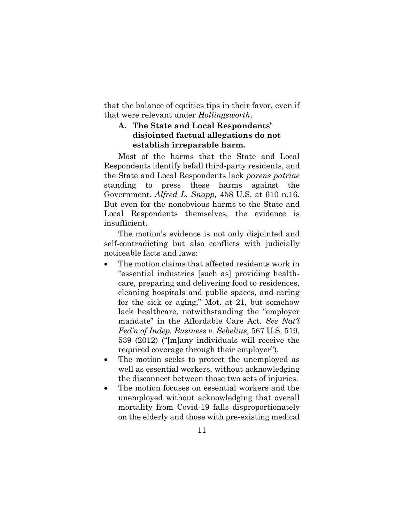that the balance of equities tips in their favor, even if that were relevant under *Hollingsworth*.

## <span id="page-22-0"></span>**A. The State and Local Respondents' disjointed factual allegations do not establish irreparable harm.**

Most of the harms that the State and Local Respondents identify befall third-party residents, and the State and Local Respondents lack *parens patriae* standing to press these harms against the Government. *Alfred L. Snapp,* 458 U.S. at 610 n.16. But even for the nonobvious harms to the State and Local Respondents themselves, the evidence is insufficient.

The motion's evidence is not only disjointed and self-contradicting but also conflicts with judicially noticeable facts and laws:

- The motion claims that affected residents work in "essential industries [such as] providing healthcare, preparing and delivering food to residences, cleaning hospitals and public spaces, and caring for the sick or aging," Mot. at 21, but somehow lack healthcare, notwithstanding the "employer mandate" in the Affordable Care Act. *See Nat'l Fed'n of Indep. Business v. Sebelius*, 567 U.S. 519, 539 (2012) ("[m]any individuals will receive the required coverage through their employer").
- The motion seeks to protect the unemployed as well as essential workers, without acknowledging the disconnect between those two sets of injuries.
- The motion focuses on essential workers and the unemployed without acknowledging that overall mortality from Covid-19 falls disproportionately on the elderly and those with pre-existing medical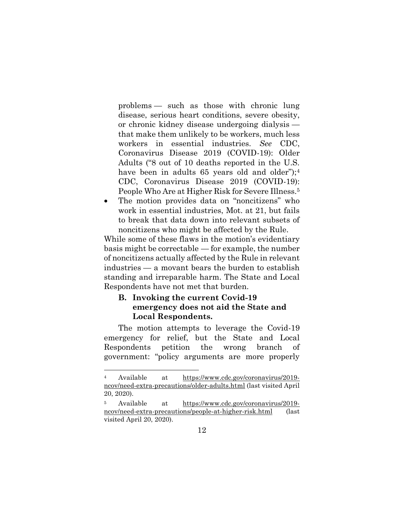problems — such as those with chronic lung disease, serious heart conditions, severe obesity, or chronic kidney disease undergoing dialysis that make them unlikely to be workers, much less workers in essential industries. *See* CDC, Coronavirus Disease 2019 (COVID-19): Older Adults ("8 out of 10 deaths reported in the U.S. have been in adults 65 years old and older");<sup>4</sup> CDC, Coronavirus Disease 2019 (COVID-19): People Who Are at Higher Risk for Severe Illness.<sup>5</sup>

• The motion provides data on "noncitizens" who work in essential industries, Mot. at 21, but fails to break that data down into relevant subsets of noncitizens who might be affected by the Rule.

While some of these flaws in the motion's evidentiary basis might be correctable — for example, the number of noncitizens actually affected by the Rule in relevant industries — a movant bears the burden to establish standing and irreparable harm. The State and Local Respondents have not met that burden.

## <span id="page-23-0"></span>**B. Invoking the current Covid-19 emergency does not aid the State and Local Respondents.**

The motion attempts to leverage the Covid-19 emergency for relief, but the State and Local Respondents petition the wrong branch of government: "policy arguments are more properly

Available at [https://www.cdc.gov/coronavirus/2019](https://www.cdc.gov/coronavirus/2019-ncov/need-extra-precautions/older-adults.html) [ncov/need-extra-precautions/older-adults.html](https://www.cdc.gov/coronavirus/2019-ncov/need-extra-precautions/older-adults.html) (last visited April 20, 2020).

Available at [https://www.cdc.gov/coronavirus/2019](https://www.cdc.gov/coronavirus/2019-ncov/need-extra-precautions/people-at-higher-risk.html) [ncov/need-extra-precautions/people-at-higher-risk.html](https://www.cdc.gov/coronavirus/2019-ncov/need-extra-precautions/people-at-higher-risk.html) (last visited April 20, 2020).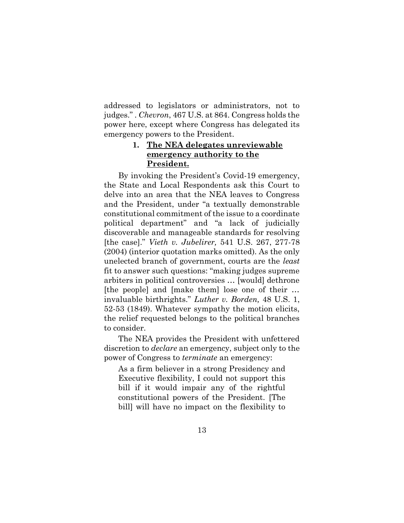addressed to legislators or administrators, not to judges." . *Chevron*, 467 U.S. at 864. Congress holds the power here, except where Congress has delegated its emergency powers to the President.

# **1. The NEA delegates unreviewable emergency authority to the President.**

By invoking the President's Covid-19 emergency, the State and Local Respondents ask this Court to delve into an area that the NEA leaves to Congress and the President, under "a textually demonstrable constitutional commitment of the issue to a coordinate political department" and "a lack of judicially discoverable and manageable standards for resolving [the case]." *Vieth v. Jubelirer,* 541 U.S. 267, 277-78 (2004) (interior quotation marks omitted). As the only unelected branch of government, courts are the *least* fit to answer such questions: "making judges supreme arbiters in political controversies … [would] dethrone [the people] and [make them] lose one of their … invaluable birthrights." *Luther v. Borden,* 48 U.S. 1, 52-53 (1849). Whatever sympathy the motion elicits, the relief requested belongs to the political branches to consider.

The NEA provides the President with unfettered discretion to *declare* an emergency, subject only to the power of Congress to *terminate* an emergency:

As a firm believer in a strong Presidency and Executive flexibility, I could not support this bill if it would impair any of the rightful constitutional powers of the President. [The bill] will have no impact on the flexibility to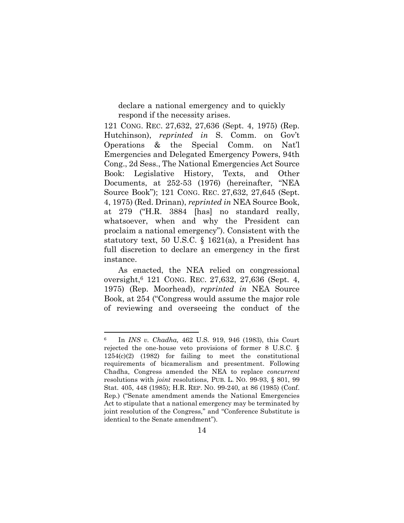declare a national emergency and to quickly respond if the necessity arises.

121 CONG. REC. 27,632, 27,636 (Sept. 4, 1975) (Rep. Hutchinson), *reprinted in* S. Comm. on Gov't Operations & the Special Comm. on Nat'l Emergencies and Delegated Emergency Powers, 94th Cong., 2d Sess., The National Emergencies Act Source Book: Legislative History, Texts, and Other Documents, at 252-53 (1976) (hereinafter, "NEA Source Book"); 121 CONG. REC. 27,632, 27,645 (Sept. 4, 1975) (Red. Drinan), *reprinted in* NEA Source Book, at 279 ("H.R. 3884 [has] no standard really, whatsoever, when and why the President can proclaim a national emergency"). Consistent with the statutory text, 50 U.S.C. § 1621(a), a President has full discretion to declare an emergency in the first instance.

As enacted, the NEA relied on congressional oversight,<sup>6</sup> 121 CONG. REC. 27,632, 27,636 (Sept. 4, 1975) (Rep. Moorhead), *reprinted in* NEA Source Book, at 254 ("Congress would assume the major role of reviewing and overseeing the conduct of the

<sup>6</sup> In *INS v. Chadha,* 462 U.S. 919, 946 (1983), this Court rejected the one-house veto provisions of former 8 U.S.C. § 1254(c)(2) (1982) for failing to meet the constitutional requirements of bicameralism and presentment. Following Chadha, Congress amended the NEA to replace *concurrent* resolutions with *joint* resolutions, PUB. L. NO. 99-93, § 801, 99 Stat. 405, 448 (1985); H.R. REP. NO. 99-240, at 86 (1985) (Conf. Rep.) ("Senate amendment amends the National Emergencies Act to stipulate that a national emergency may be terminated by joint resolution of the Congress," and "Conference Substitute is identical to the Senate amendment").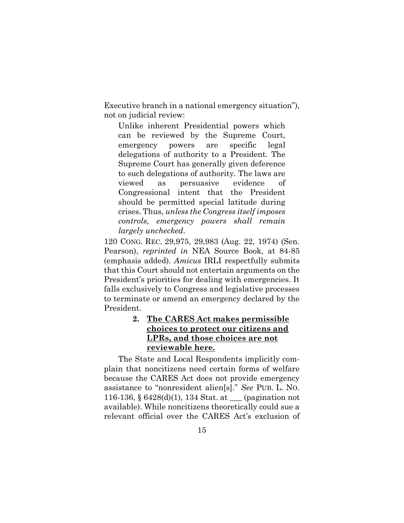Executive branch in a national emergency situation"), not on judicial review:

Unlike inherent Presidential powers which can be reviewed by the Supreme Court, emergency powers are specific legal delegations of authority to a President. The Supreme Court has generally given deference to such delegations of authority. The laws are viewed as persuasive evidence of Congressional intent that the President should be permitted special latitude during crises. Thus, *unless the Congress itself imposes controls, emergency powers shall remain largely unchecked*.

120 CONG. REC. 29,975, 29,983 (Aug. 22, 1974) (Sen. Pearson), *reprinted in* NEA Source Book, at 84-85 (emphasis added). *Amicus* IRLI respectfully submits that this Court should not entertain arguments on the President's priorities for dealing with emergencies. It falls exclusively to Congress and legislative processes to terminate or amend an emergency declared by the President.

## **2. The CARES Act makes permissible choices to protect our citizens and LPRs, and those choices are not reviewable here.**

The State and Local Respondents implicitly complain that noncitizens need certain forms of welfare because the CARES Act does not provide emergency assistance to "nonresident alien[s]." *See* PUB. L. NO. 116-136, § 6428(d)(1), 134 Stat. at \_\_\_ (pagination not available). While noncitizens theoretically could sue a relevant official over the CARES Act's exclusion of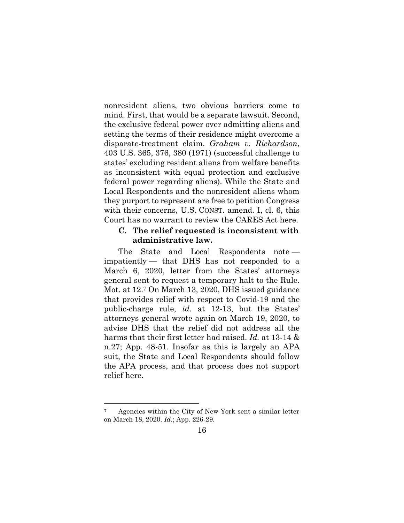nonresident aliens, two obvious barriers come to mind. First, that would be a separate lawsuit. Second, the exclusive federal power over admitting aliens and setting the terms of their residence might overcome a disparate-treatment claim. *Graham v. Richardson*, 403 U.S. 365, 376, 380 (1971) (successful challenge to states' excluding resident aliens from welfare benefits as inconsistent with equal protection and exclusive federal power regarding aliens). While the State and Local Respondents and the nonresident aliens whom they purport to represent are free to petition Congress with their concerns, U.S. CONST. amend. I, cl. 6, this Court has no warrant to review the CARES Act here.

### <span id="page-27-0"></span>**C. The relief requested is inconsistent with administrative law.**

The State and Local Respondents note impatiently — that DHS has not responded to a March 6, 2020, letter from the States' attorneys general sent to request a temporary halt to the Rule. Mot. at 12.<sup>7</sup> On March 13, 2020, DHS issued guidance that provides relief with respect to Covid-19 and the public-charge rule, *id.* at 12-13, but the States' attorneys general wrote again on March 19, 2020, to advise DHS that the relief did not address all the harms that their first letter had raised. *Id.* at 13-14 & n.27; App. 48-51. Insofar as this is largely an APA suit, the State and Local Respondents should follow the APA process, and that process does not support relief here.

<sup>7</sup> Agencies within the City of New York sent a similar letter on March 18, 2020. *Id.*; App. 226-29.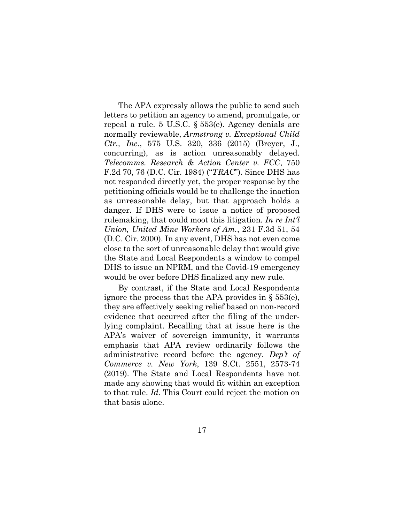The APA expressly allows the public to send such letters to petition an agency to amend, promulgate, or repeal a rule. 5 U.S.C. § 553(e). Agency denials are normally reviewable, *Armstrong v. Exceptional Child Ctr., Inc.*, 575 U.S. 320, 336 (2015) (Breyer, J., concurring), as is action unreasonably delayed. *Telecomms. Research & Action Center v. FCC*, 750 F.2d 70, 76 (D.C. Cir. 1984) ("*TRAC*"). Since DHS has not responded directly yet, the proper response by the petitioning officials would be to challenge the inaction as unreasonable delay, but that approach holds a danger. If DHS were to issue a notice of proposed rulemaking, that could moot this litigation. *In re Int'l Union, United Mine Workers of Am.*, 231 F.3d 51, 54 (D.C. Cir. 2000). In any event, DHS has not even come close to the sort of unreasonable delay that would give the State and Local Respondents a window to compel DHS to issue an NPRM, and the Covid-19 emergency would be over before DHS finalized any new rule.

By contrast, if the State and Local Respondents ignore the process that the APA provides in § 553(e), they are effectively seeking relief based on non-record evidence that occurred after the filing of the underlying complaint. Recalling that at issue here is the APA's waiver of sovereign immunity, it warrants emphasis that APA review ordinarily follows the administrative record before the agency. *Dep't of Commerce v. New York*, 139 S.Ct. 2551, 2573-74 (2019). The State and Local Respondents have not made any showing that would fit within an exception to that rule. *Id.* This Court could reject the motion on that basis alone.